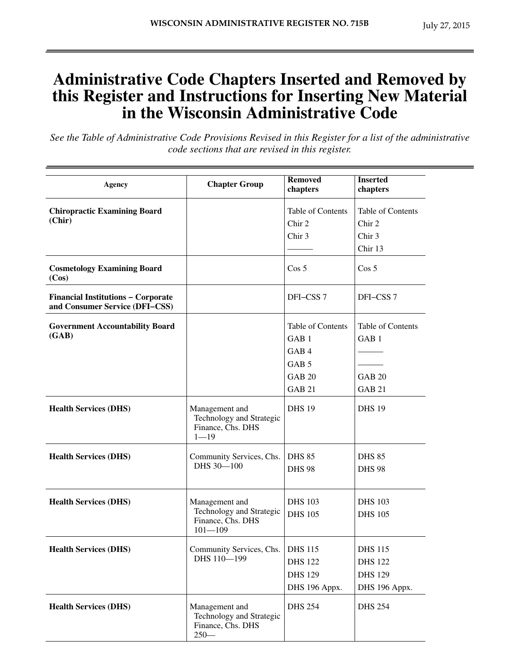## **Administrative Code Chapters Inserted and Removed by this Register and Instructions for Inserting New Material in the Wisconsin Administrative Code**

*See the Table of Administrative Code Provisions Revised in this Register for a list of the administrative code sections that are revised in this register.*

| Agency                                                                      | <b>Chapter Group</b>                                                           | <b>Removed</b><br>chapters                                                                                          | <b>Inserted</b><br>chapters                                             |
|-----------------------------------------------------------------------------|--------------------------------------------------------------------------------|---------------------------------------------------------------------------------------------------------------------|-------------------------------------------------------------------------|
| <b>Chiropractic Examining Board</b><br>(Chir)                               |                                                                                | Table of Contents<br>Chir 2<br>Chir <sub>3</sub>                                                                    | Table of Contents<br>Chir <sub>2</sub><br>Chir <sub>3</sub><br>Chir 13  |
| <b>Cosmetology Examining Board</b><br>(Cos)                                 |                                                                                | Cos 5                                                                                                               | Cos 5                                                                   |
| <b>Financial Institutions - Corporate</b><br>and Consumer Service (DFI-CSS) |                                                                                | DFI-CSS 7                                                                                                           | DFI-CSS <sub>7</sub>                                                    |
| <b>Government Accountability Board</b><br>(GAB)                             |                                                                                | Table of Contents<br>GAB <sub>1</sub><br>GAB <sub>4</sub><br>GAB <sub>5</sub><br><b>GAB 20</b><br>GAB <sub>21</sub> | Table of Contents<br>GAB <sub>1</sub><br><b>GAB 20</b><br><b>GAB 21</b> |
| <b>Health Services (DHS)</b>                                                | Management and<br>Technology and Strategic<br>Finance, Chs. DHS<br>$1 - 19$    | <b>DHS 19</b>                                                                                                       | <b>DHS 19</b>                                                           |
| <b>Health Services (DHS)</b>                                                | Community Services, Chs.<br>DHS 30-100                                         | <b>DHS 85</b><br><b>DHS 98</b>                                                                                      | <b>DHS 85</b><br><b>DHS 98</b>                                          |
| <b>Health Services (DHS)</b>                                                | Management and<br>Technology and Strategic<br>Finance, Chs. DHS<br>$101 - 109$ | <b>DHS 103</b><br><b>DHS 105</b>                                                                                    | <b>DHS 103</b><br><b>DHS 105</b>                                        |
| <b>Health Services (DHS)</b>                                                | Community Services, Chs.   DHS 115<br>DHS 110-199                              | <b>DHS 122</b><br><b>DHS 129</b><br>DHS 196 Appx.                                                                   | <b>DHS 115</b><br><b>DHS 122</b><br><b>DHS 129</b><br>DHS 196 Appx.     |
| <b>Health Services (DHS)</b>                                                | Management and<br>Technology and Strategic<br>Finance, Chs. DHS<br>$250-$      | <b>DHS 254</b>                                                                                                      | <b>DHS 254</b>                                                          |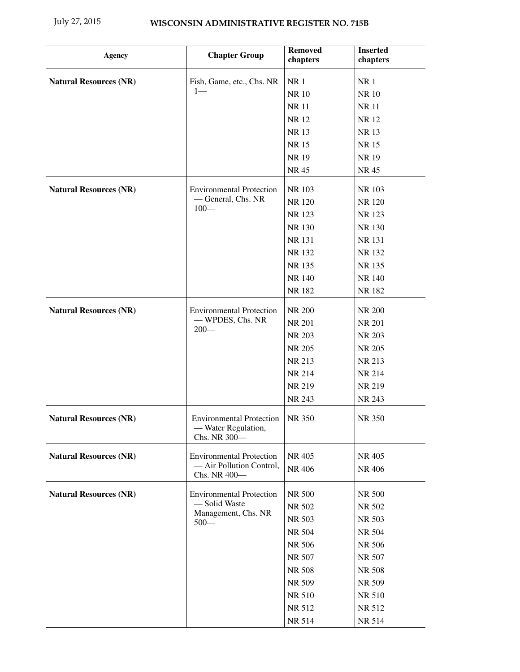| <b>Agency</b>                 | <b>Chapter Group</b>                                                   | <b>Removed</b><br>chapters | <b>Inserted</b><br>chapters |
|-------------------------------|------------------------------------------------------------------------|----------------------------|-----------------------------|
| <b>Natural Resources (NR)</b> | Fish, Game, etc., Chs. NR                                              | <b>NR1</b>                 | NR <sub>1</sub>             |
|                               | $1-$                                                                   | <b>NR10</b>                | <b>NR10</b>                 |
|                               |                                                                        | <b>NR11</b>                | <b>NR11</b>                 |
|                               |                                                                        | NR 12                      | NR 12                       |
|                               |                                                                        | NR 13                      | NR 13                       |
|                               |                                                                        | <b>NR15</b>                | <b>NR15</b>                 |
|                               |                                                                        | NR 19                      | <b>NR19</b>                 |
|                               |                                                                        | NR 45                      | NR 45                       |
| <b>Natural Resources (NR)</b> | <b>Environmental Protection</b>                                        | NR 103                     | NR 103                      |
|                               | -General, Chs. NR                                                      | NR 120                     | NR 120                      |
|                               | $100 -$                                                                | NR 123                     | NR 123                      |
|                               |                                                                        | NR 130                     | NR 130                      |
|                               |                                                                        | NR 131                     | NR 131                      |
|                               |                                                                        | NR 132                     | NR 132                      |
|                               |                                                                        | NR 135                     | NR 135                      |
|                               |                                                                        | NR 140                     | NR 140                      |
|                               |                                                                        | NR 182                     | NR 182                      |
| <b>Natural Resources (NR)</b> | <b>Environmental Protection</b>                                        | NR 200                     | NR 200                      |
|                               | - WPDES, Chs. NR                                                       | <b>NR 201</b>              | <b>NR 201</b>               |
|                               | $200-$                                                                 | NR 203                     | NR 203                      |
|                               |                                                                        | NR 205                     | NR 205                      |
|                               |                                                                        | NR 213                     | NR 213                      |
|                               |                                                                        | NR 214                     | NR 214                      |
|                               |                                                                        | NR 219                     | NR 219                      |
|                               |                                                                        | NR 243                     | NR 243                      |
| <b>Natural Resources (NR)</b> | <b>Environmental Protection</b><br>- Water Regulation,<br>Chs. NR 300- | <b>NR 350</b>              | NR 350                      |
| <b>Natural Resources (NR)</b> | <b>Environmental Protection</b>                                        | NR 405                     | NR 405                      |
|                               | - Air Pollution Control,<br>Chs. NR 400-                               | NR 406                     | NR 406                      |
| <b>Natural Resources (NR)</b> | <b>Environmental Protection</b>                                        | NR 500                     | NR 500                      |
|                               | - Solid Waste                                                          | NR 502                     | NR 502                      |
|                               | Management, Chs. NR                                                    | NR 503                     | NR 503                      |
|                               | $500 -$                                                                | NR 504                     | NR 504                      |
|                               |                                                                        | NR 506                     | NR 506                      |
|                               |                                                                        | NR 507                     | NR 507                      |
|                               |                                                                        | <b>NR 508</b>              | NR 508                      |
|                               |                                                                        |                            |                             |
|                               |                                                                        | NR 509                     | NR 509                      |
|                               |                                                                        | NR 510                     | NR 510                      |
|                               |                                                                        | NR 512                     | NR 512                      |
|                               |                                                                        | NR 514                     | NR 514                      |